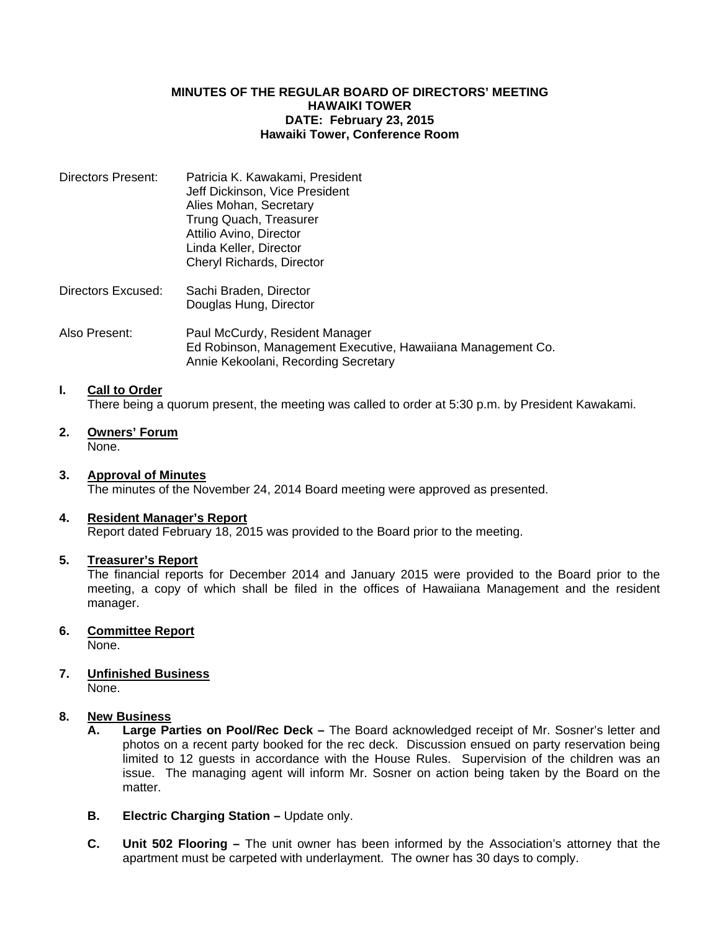### **MINUTES OF THE REGULAR BOARD OF DIRECTORS' MEETING HAWAIKI TOWER DATE: February 23, 2015 Hawaiki Tower, Conference Room**

| Directors Present: | Patricia K. Kawakami, President |
|--------------------|---------------------------------|
|                    | Jeff Dickinson, Vice President  |
|                    | Alies Mohan, Secretary          |
|                    | Trung Quach, Treasurer          |
|                    | Attilio Avino, Director         |
|                    | Linda Keller, Director          |
|                    | Cheryl Richards, Director       |
|                    |                                 |

- Directors Excused: Sachi Braden, Director Douglas Hung, Director
- Also Present: Paul McCurdy, Resident Manager Ed Robinson, Management Executive, Hawaiiana Management Co. Annie Kekoolani, Recording Secretary

# **I. Call to Order**

There being a quorum present, the meeting was called to order at 5:30 p.m. by President Kawakami.

**2. Owners' Forum** None.

### **3. Approval of Minutes**

The minutes of the November 24, 2014 Board meeting were approved as presented.

### **4. Resident Manager's Report**

Report dated February 18, 2015 was provided to the Board prior to the meeting.

### **5. Treasurer's Report**

 The financial reports for December 2014 and January 2015 were provided to the Board prior to the meeting, a copy of which shall be filed in the offices of Hawaiiana Management and the resident manager.

## **6. Committee Report**

None.

# **7. Unfinished Business**

None.

## **8. New Business**

- **A. Large Parties on Pool/Rec Deck** The Board acknowledged receipt of Mr. Sosner's letter and photos on a recent party booked for the rec deck. Discussion ensued on party reservation being limited to 12 guests in accordance with the House Rules. Supervision of the children was an issue. The managing agent will inform Mr. Sosner on action being taken by the Board on the matter.
- **B. Electric Charging Station –** Update only.
- **C. Unit 502 Flooring –** The unit owner has been informed by the Association's attorney that the apartment must be carpeted with underlayment. The owner has 30 days to comply.